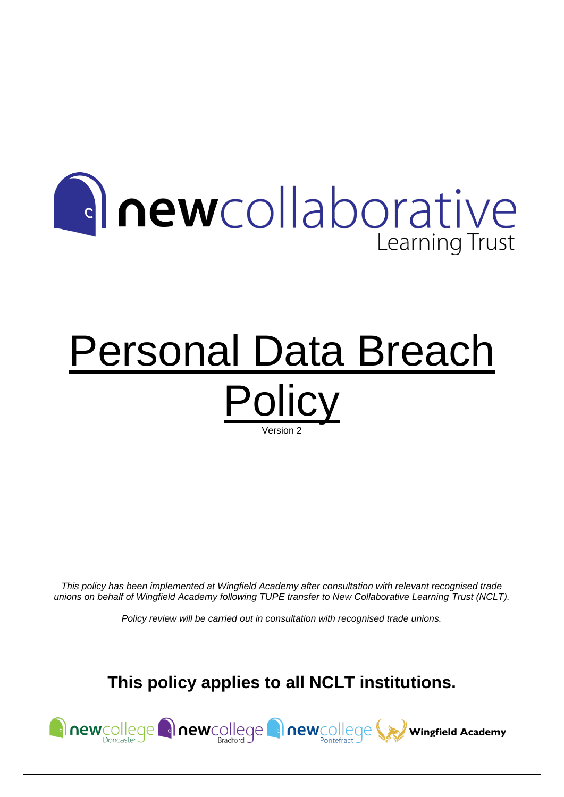# **Anewcollaborative Learning Trust**

# Personal Data Breach **Policy** Version 2

*This policy has been implemented at Wingfield Academy after consultation with relevant recognised trade unions on behalf of Wingfield Academy following TUPE transfer to New Collaborative Learning Trust (NCLT).*

*Policy review will be carried out in consultation with recognised trade unions.*

# **This policy applies to all NCLT institutions.**

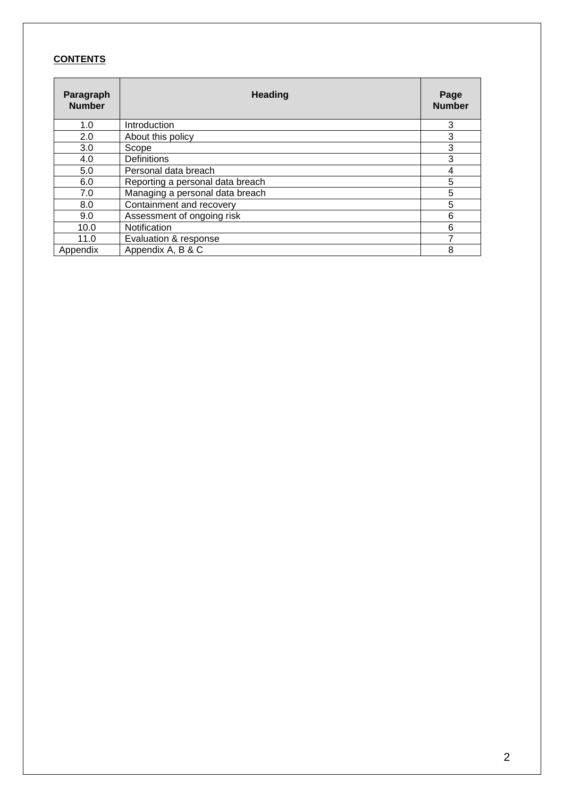## **CONTENTS**

| Paragraph<br><b>Number</b> | <b>Heading</b>                   |   |  |  |
|----------------------------|----------------------------------|---|--|--|
| 1.0                        | Introduction                     | 3 |  |  |
| 2.0                        | About this policy                | 3 |  |  |
| 3.0                        | Scope                            | 3 |  |  |
| 4.0                        | <b>Definitions</b>               | 3 |  |  |
| 5.0                        | Personal data breach             | 4 |  |  |
| 6.0                        | Reporting a personal data breach | 5 |  |  |
| 7.0                        | Managing a personal data breach  | 5 |  |  |
| 8.0                        | Containment and recovery         | 5 |  |  |
| 9.0                        | Assessment of ongoing risk       | 6 |  |  |
| 10.0                       | Notification                     | 6 |  |  |
| 11.0                       | Evaluation & response            |   |  |  |
| Appendix                   | Appendix A, B & C                | 8 |  |  |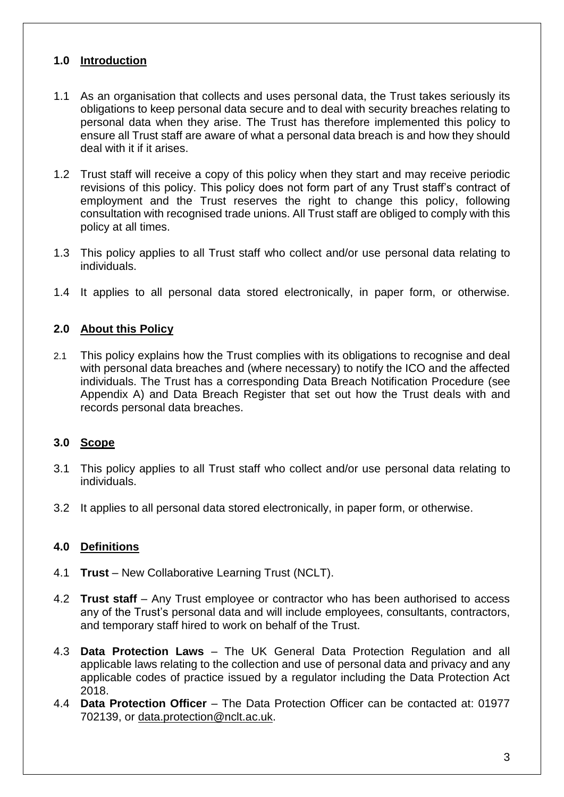## **1.0 Introduction**

- 1.1 As an organisation that collects and uses personal data, the Trust takes seriously its obligations to keep personal data secure and to deal with security breaches relating to personal data when they arise. The Trust has therefore implemented this policy to ensure all Trust staff are aware of what a personal data breach is and how they should deal with it if it arises.
- 1.2 Trust staff will receive a copy of this policy when they start and may receive periodic revisions of this policy. This policy does not form part of any Trust staff's contract of employment and the Trust reserves the right to change this policy, following consultation with recognised trade unions. All Trust staff are obliged to comply with this policy at all times.
- 1.3 This policy applies to all Trust staff who collect and/or use personal data relating to individuals.
- 1.4 It applies to all personal data stored electronically, in paper form, or otherwise.

## **2.0 About this Policy**

2.1 This policy explains how the Trust complies with its obligations to recognise and deal with personal data breaches and (where necessary) to notify the ICO and the affected individuals. The Trust has a corresponding Data Breach Notification Procedure (see Appendix A) and Data Breach Register that set out how the Trust deals with and records personal data breaches.

## **3.0 Scope**

- 3.1 This policy applies to all Trust staff who collect and/or use personal data relating to individuals.
- 3.2 It applies to all personal data stored electronically, in paper form, or otherwise.

## **4.0 Definitions**

- 4.1 **Trust** New Collaborative Learning Trust (NCLT).
- 4.2 **Trust staff** Any Trust employee or contractor who has been authorised to access any of the Trust's personal data and will include employees, consultants, contractors, and temporary staff hired to work on behalf of the Trust.
- 4.3 **Data Protection Laws** The UK General Data Protection Regulation and all applicable laws relating to the collection and use of personal data and privacy and any applicable codes of practice issued by a regulator including the Data Protection Act 2018.
- 4.4 **Data Protection Officer** The Data Protection Officer can be contacted at: 01977 702139, or [data.protection@nclt.ac.uk.](mailto:data.protection@nclt.ac.uk)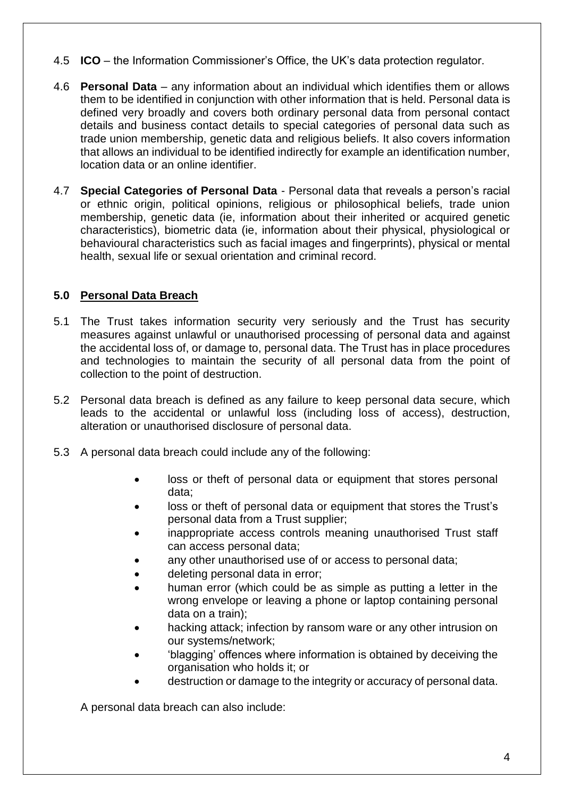- 4.5 **ICO** the Information Commissioner's Office, the UK's data protection regulator.
- 4.6 **Personal Data** any information about an individual which identifies them or allows them to be identified in conjunction with other information that is held. Personal data is defined very broadly and covers both ordinary personal data from personal contact details and business contact details to special categories of personal data such as trade union membership, genetic data and religious beliefs. It also covers information that allows an individual to be identified indirectly for example an identification number, location data or an online identifier.
- 4.7 **Special Categories of Personal Data** Personal data that reveals a person's racial or ethnic origin, political opinions, religious or philosophical beliefs, trade union membership, genetic data (ie, information about their inherited or acquired genetic characteristics), biometric data (ie, information about their physical, physiological or behavioural characteristics such as facial images and fingerprints), physical or mental health, sexual life or sexual orientation and criminal record.

## **5.0 Personal Data Breach**

- 5.1 The Trust takes information security very seriously and the Trust has security measures against unlawful or unauthorised processing of personal data and against the accidental loss of, or damage to, personal data. The Trust has in place procedures and technologies to maintain the security of all personal data from the point of collection to the point of destruction.
- 5.2 Personal data breach is defined as any failure to keep personal data secure, which leads to the accidental or unlawful loss (including loss of access), destruction, alteration or unauthorised disclosure of personal data.
- 5.3 A personal data breach could include any of the following:
	- loss or theft of personal data or equipment that stores personal data;
	- loss or theft of personal data or equipment that stores the Trust's personal data from a Trust supplier;
	- inappropriate access controls meaning unauthorised Trust staff can access personal data;
	- any other unauthorised use of or access to personal data;
	- deleting personal data in error;
	- human error (which could be as simple as putting a letter in the wrong envelope or leaving a phone or laptop containing personal data on a train);
	- hacking attack; infection by ransom ware or any other intrusion on our systems/network;
	- 'blagging' offences where information is obtained by deceiving the organisation who holds it; or
	- destruction or damage to the integrity or accuracy of personal data.

A personal data breach can also include: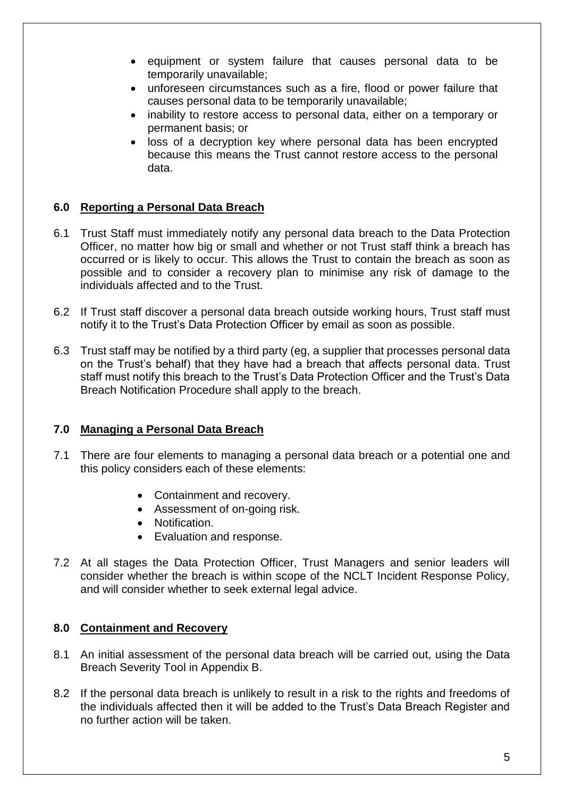- equipment or system failure that causes personal data to be temporarily unavailable;
- unforeseen circumstances such as a fire, flood or power failure that causes personal data to be temporarily unavailable;
- inability to restore access to personal data, either on a temporary or permanent basis; or
- loss of a decryption key where personal data has been encrypted because this means the Trust cannot restore access to the personal data.

## **6.0 Reporting a Personal Data Breach**

- 6.1 Trust Staff must immediately notify any personal data breach to the Data Protection Officer, no matter how big or small and whether or not Trust staff think a breach has occurred or is likely to occur. This allows the Trust to contain the breach as soon as possible and to consider a recovery plan to minimise any risk of damage to the individuals affected and to the Trust.
- 6.2 If Trust staff discover a personal data breach outside working hours, Trust staff must notify it to the Trust's Data Protection Officer by email as soon as possible.
- 6.3 Trust staff may be notified by a third party (eg, a supplier that processes personal data on the Trust's behalf) that they have had a breach that affects personal data. Trust staff must notify this breach to the Trust's Data Protection Officer and the Trust's Data Breach Notification Procedure shall apply to the breach.

## **7.0 Managing a Personal Data Breach**

- 7.1 There are four elements to managing a personal data breach or a potential one and this policy considers each of these elements:
	- Containment and recovery.
	- Assessment of on-going risk.
	- Notification.
	- Evaluation and response.
- 7.2 At all stages the Data Protection Officer, Trust Managers and senior leaders will consider whether the breach is within scope of the NCLT Incident Response Policy, and will consider whether to seek external legal advice.

## **8.0 Containment and Recovery**

- 8.1 An initial assessment of the personal data breach will be carried out, using the Data Breach Severity Tool in Appendix B.
- 8.2 If the personal data breach is unlikely to result in a risk to the rights and freedoms of the individuals affected then it will be added to the Trust's Data Breach Register and no further action will be taken.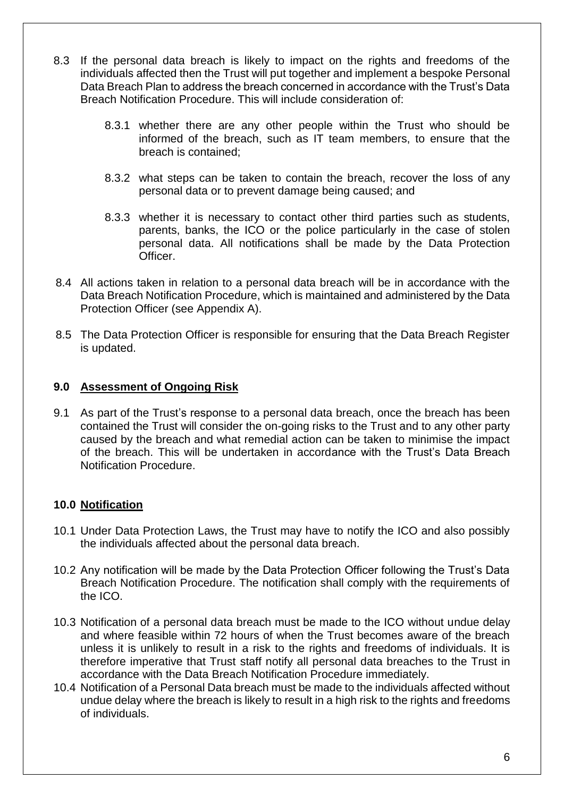- 8.3 If the personal data breach is likely to impact on the rights and freedoms of the individuals affected then the Trust will put together and implement a bespoke Personal Data Breach Plan to address the breach concerned in accordance with the Trust's Data Breach Notification Procedure. This will include consideration of:
	- 8.3.1 whether there are any other people within the Trust who should be informed of the breach, such as IT team members, to ensure that the breach is contained;
	- 8.3.2 what steps can be taken to contain the breach, recover the loss of any personal data or to prevent damage being caused; and
	- 8.3.3 whether it is necessary to contact other third parties such as students, parents, banks, the ICO or the police particularly in the case of stolen personal data. All notifications shall be made by the Data Protection Officer.
- 8.4 All actions taken in relation to a personal data breach will be in accordance with the Data Breach Notification Procedure, which is maintained and administered by the Data Protection Officer (see Appendix A).
- 8.5 The Data Protection Officer is responsible for ensuring that the Data Breach Register is updated.

## **9.0 Assessment of Ongoing Risk**

9.1 As part of the Trust's response to a personal data breach, once the breach has been contained the Trust will consider the on-going risks to the Trust and to any other party caused by the breach and what remedial action can be taken to minimise the impact of the breach. This will be undertaken in accordance with the Trust's Data Breach Notification Procedure.

## **10.0 Notification**

- 10.1 Under Data Protection Laws, the Trust may have to notify the ICO and also possibly the individuals affected about the personal data breach.
- 10.2 Any notification will be made by the Data Protection Officer following the Trust's Data Breach Notification Procedure. The notification shall comply with the requirements of the ICO.
- 10.3 Notification of a personal data breach must be made to the ICO without undue delay and where feasible within 72 hours of when the Trust becomes aware of the breach unless it is unlikely to result in a risk to the rights and freedoms of individuals. It is therefore imperative that Trust staff notify all personal data breaches to the Trust in accordance with the Data Breach Notification Procedure immediately.
- 10.4 Notification of a Personal Data breach must be made to the individuals affected without undue delay where the breach is likely to result in a high risk to the rights and freedoms of individuals.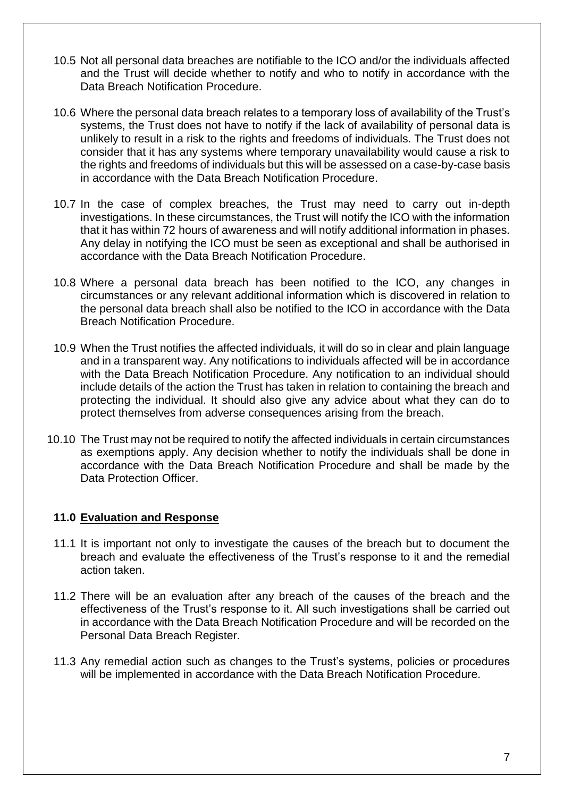- 10.5 Not all personal data breaches are notifiable to the ICO and/or the individuals affected and the Trust will decide whether to notify and who to notify in accordance with the Data Breach Notification Procedure.
- 10.6 Where the personal data breach relates to a temporary loss of availability of the Trust's systems, the Trust does not have to notify if the lack of availability of personal data is unlikely to result in a risk to the rights and freedoms of individuals. The Trust does not consider that it has any systems where temporary unavailability would cause a risk to the rights and freedoms of individuals but this will be assessed on a case-by-case basis in accordance with the Data Breach Notification Procedure.
- 10.7 In the case of complex breaches, the Trust may need to carry out in-depth investigations. In these circumstances, the Trust will notify the ICO with the information that it has within 72 hours of awareness and will notify additional information in phases. Any delay in notifying the ICO must be seen as exceptional and shall be authorised in accordance with the Data Breach Notification Procedure.
- 10.8 Where a personal data breach has been notified to the ICO, any changes in circumstances or any relevant additional information which is discovered in relation to the personal data breach shall also be notified to the ICO in accordance with the Data Breach Notification Procedure.
- 10.9 When the Trust notifies the affected individuals, it will do so in clear and plain language and in a transparent way. Any notifications to individuals affected will be in accordance with the Data Breach Notification Procedure. Any notification to an individual should include details of the action the Trust has taken in relation to containing the breach and protecting the individual. It should also give any advice about what they can do to protect themselves from adverse consequences arising from the breach.
- 10.10 The Trust may not be required to notify the affected individuals in certain circumstances as exemptions apply. Any decision whether to notify the individuals shall be done in accordance with the Data Breach Notification Procedure and shall be made by the Data Protection Officer.

## **11.0 Evaluation and Response**

- 11.1 It is important not only to investigate the causes of the breach but to document the breach and evaluate the effectiveness of the Trust's response to it and the remedial action taken.
- 11.2 There will be an evaluation after any breach of the causes of the breach and the effectiveness of the Trust's response to it. All such investigations shall be carried out in accordance with the Data Breach Notification Procedure and will be recorded on the Personal Data Breach Register.
- 11.3 Any remedial action such as changes to the Trust's systems, policies or procedures will be implemented in accordance with the Data Breach Notification Procedure.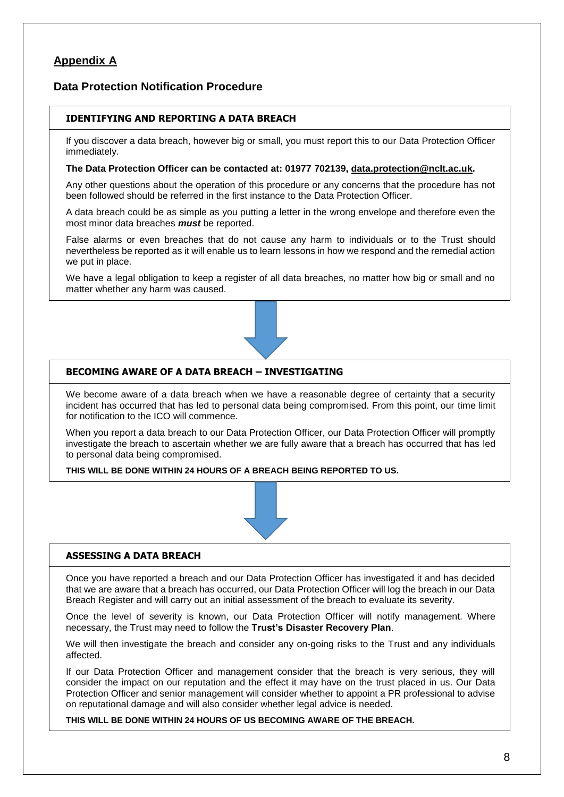## **Appendix A**

#### **Data Protection Notification Procedure**

#### **IDENTIFYING AND REPORTING A DATA BREACH**

If you discover a data breach, however big or small, you must report this to our Data Protection Officer immediately.

#### **The Data Protection Officer can be contacted at: 01977 702139, [data.protection@nclt.ac.uk.](mailto:data.protection@nclt.ac.uk)**

Any other questions about the operation of this procedure or any concerns that the procedure has not been followed should be referred in the first instance to the Data Protection Officer.

A data breach could be as simple as you putting a letter in the wrong envelope and therefore even the most minor data breaches *must* be reported.

False alarms or even breaches that do not cause any harm to individuals or to the Trust should nevertheless be reported as it will enable us to learn lessons in how we respond and the remedial action we put in place.

We have a legal obligation to keep a register of all data breaches, no matter how big or small and no matter whether any harm was caused.



#### **BECOMING AWARE OF A DATA BREACH – INVESTIGATING**

We become aware of a data breach when we have a reasonable degree of certainty that a security incident has occurred that has led to personal data being compromised. From this point, our time limit for notification to the ICO will commence.

When you report a data breach to our Data Protection Officer, our Data Protection Officer will promptly investigate the breach to ascertain whether we are fully aware that a breach has occurred that has led to personal data being compromised.

**THIS WILL BE DONE WITHIN 24 HOURS OF A BREACH BEING REPORTED TO US.**



#### **ASSESSING A DATA BREACH**

Once you have reported a breach and our Data Protection Officer has investigated it and has decided that we are aware that a breach has occurred, our Data Protection Officer will log the breach in our Data Breach Register and will carry out an initial assessment of the breach to evaluate its severity.

Once the level of severity is known, our Data Protection Officer will notify management. Where necessary, the Trust may need to follow the **Trust's Disaster Recovery Plan**.

We will then investigate the breach and consider any on-going risks to the Trust and any individuals affected.

If our Data Protection Officer and management consider that the breach is very serious, they will consider the impact on our reputation and the effect it may have on the trust placed in us. Our Data Protection Officer and senior management will consider whether to appoint a PR professional to advise on reputational damage and will also consider whether legal advice is needed.

**THIS WILL BE DONE WITHIN 24 HOURS OF US BECOMING AWARE OF THE BREACH.**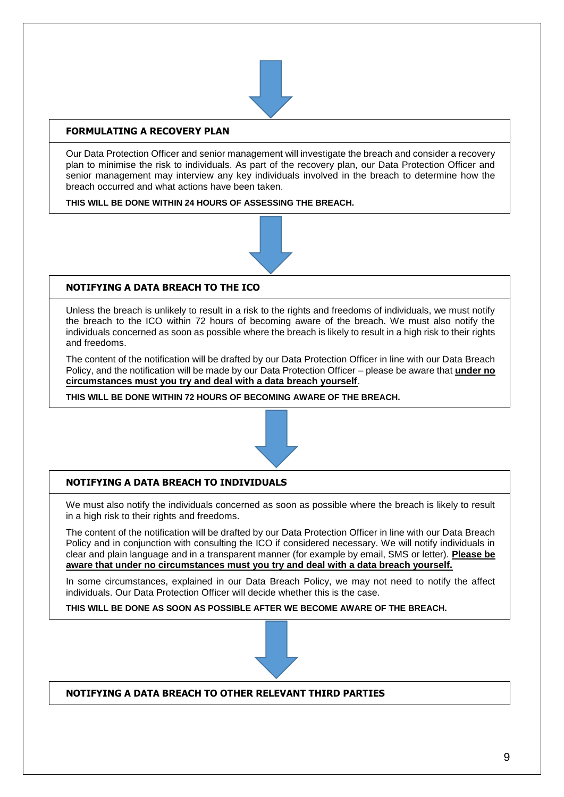

#### **FORMULATING A RECOVERY PLAN**

Our Data Protection Officer and senior management will investigate the breach and consider a recovery plan to minimise the risk to individuals. As part of the recovery plan, our Data Protection Officer and senior management may interview any key individuals involved in the breach to determine how the breach occurred and what actions have been taken.

**THIS WILL BE DONE WITHIN 24 HOURS OF ASSESSING THE BREACH.**



#### **NOTIFYING A DATA BREACH TO THE ICO**

Unless the breach is unlikely to result in a risk to the rights and freedoms of individuals, we must notify the breach to the ICO within 72 hours of becoming aware of the breach. We must also notify the individuals concerned as soon as possible where the breach is likely to result in a high risk to their rights and freedoms.

The content of the notification will be drafted by our Data Protection Officer in line with our Data Breach Policy, and the notification will be made by our Data Protection Officer – please be aware that **under no circumstances must you try and deal with a data breach yourself**.

**THIS WILL BE DONE WITHIN 72 HOURS OF BECOMING AWARE OF THE BREACH.**



## **NOTIFYING A DATA BREACH TO INDIVIDUALS**

We must also notify the individuals concerned as soon as possible where the breach is likely to result in a high risk to their rights and freedoms.

The content of the notification will be drafted by our Data Protection Officer in line with our Data Breach Policy and in conjunction with consulting the ICO if considered necessary. We will notify individuals in clear and plain language and in a transparent manner (for example by email, SMS or letter). **Please be aware that under no circumstances must you try and deal with a data breach yourself.**

In some circumstances, explained in our Data Breach Policy, we may not need to notify the affect individuals. Our Data Protection Officer will decide whether this is the case.

**THIS WILL BE DONE AS SOON AS POSSIBLE AFTER WE BECOME AWARE OF THE BREACH.**



**NOTIFYING A DATA BREACH TO OTHER RELEVANT THIRD PARTIES**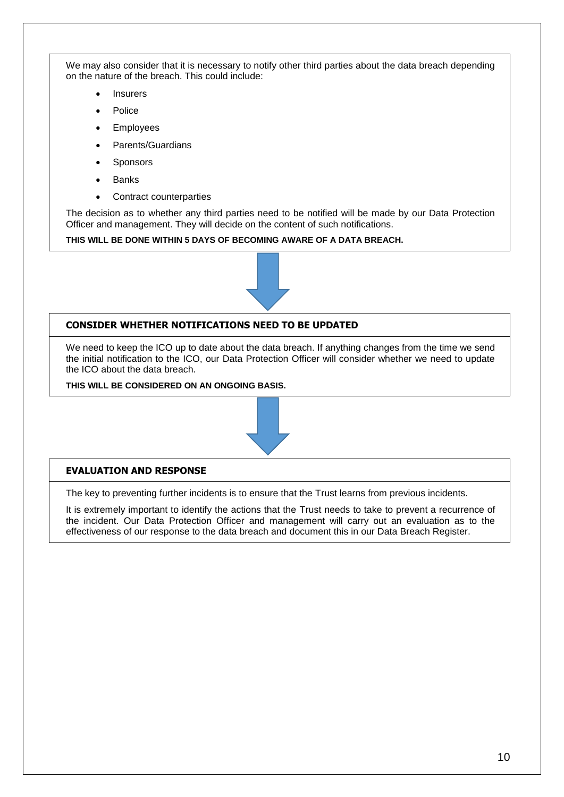We may also consider that it is necessary to notify other third parties about the data breach depending on the nature of the breach. This could include:

- **Insurers**
- **Police**
- **Employees**
- Parents/Guardians
- **Sponsors**
- **Banks**
- Contract counterparties

The decision as to whether any third parties need to be notified will be made by our Data Protection Officer and management. They will decide on the content of such notifications.

**THIS WILL BE DONE WITHIN 5 DAYS OF BECOMING AWARE OF A DATA BREACH.**



#### **CONSIDER WHETHER NOTIFICATIONS NEED TO BE UPDATED**

We need to keep the ICO up to date about the data breach. If anything changes from the time we send the initial notification to the ICO, our Data Protection Officer will consider whether we need to update the ICO about the data breach.

**THIS WILL BE CONSIDERED ON AN ONGOING BASIS.**



#### **EVALUATION AND RESPONSE**

The key to preventing further incidents is to ensure that the Trust learns from previous incidents.

It is extremely important to identify the actions that the Trust needs to take to prevent a recurrence of the incident. Our Data Protection Officer and management will carry out an evaluation as to the effectiveness of our response to the data breach and document this in our Data Breach Register.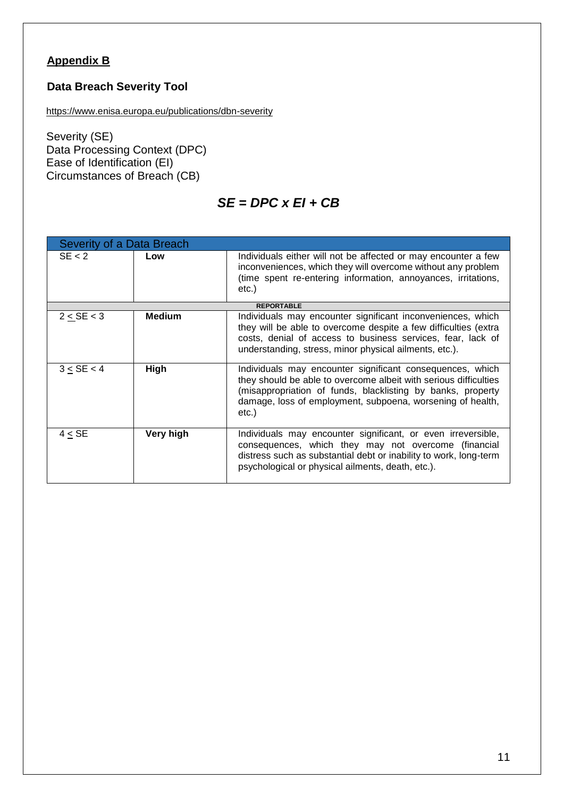## **Appendix B**

## **Data Breach Severity Tool**

<https://www.enisa.europa.eu/publications/dbn-severity>

Severity (SE) Data Processing Context (DPC) Ease of Identification (EI) Circumstances of Breach (CB)

## *SE = DPC x EI + CB*

| Severity of a Data Breach |               |                                                                                                                                                                                                                                                                     |  |
|---------------------------|---------------|---------------------------------------------------------------------------------------------------------------------------------------------------------------------------------------------------------------------------------------------------------------------|--|
| SE < 2                    | Low           | Individuals either will not be affected or may encounter a few<br>inconveniences, which they will overcome without any problem<br>(time spent re-entering information, annoyances, irritations,<br>etc.)                                                            |  |
|                           |               | <b>REPORTABLE</b>                                                                                                                                                                                                                                                   |  |
| 2 < SE < 3                | <b>Medium</b> | Individuals may encounter significant inconveniences, which<br>they will be able to overcome despite a few difficulties (extra<br>costs, denial of access to business services, fear, lack of<br>understanding, stress, minor physical ailments, etc.).             |  |
| 3 < SE < 4                | High          | Individuals may encounter significant consequences, which<br>they should be able to overcome albeit with serious difficulties<br>(misappropriation of funds, blacklisting by banks, property<br>damage, loss of employment, subpoena, worsening of health,<br>etc.) |  |
| 4 < SE                    | Very high     | Individuals may encounter significant, or even irreversible,<br>consequences, which they may not overcome (financial<br>distress such as substantial debt or inability to work, long-term<br>psychological or physical ailments, death, etc.).                      |  |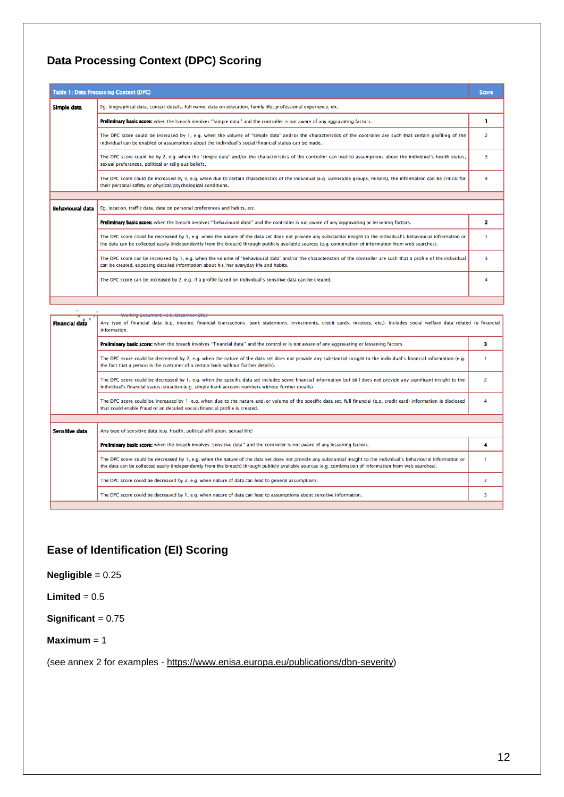## **Data Processing Context (DPC) Scoring**

|                  | Table 1: Data Processing Context (DPC)                                                                                                                                                                                                                                                                                          | Score |  |  |
|------------------|---------------------------------------------------------------------------------------------------------------------------------------------------------------------------------------------------------------------------------------------------------------------------------------------------------------------------------|-------|--|--|
| Simple data      | Eq. biographical data, contact details, full name, data on education, family life, professional experience, etc.                                                                                                                                                                                                                |       |  |  |
|                  | Preliminary basic score: when the breach involves "simple data" and the controller is not aware of any aggravating factors.                                                                                                                                                                                                     |       |  |  |
|                  | The DPC score could be increased by 1, e.g. when the volume of "simple data" and/or the characteristics of the controller are such that certain profiling of the<br>individual can be enabled or assumptions about the individual's social/financial status can be made.                                                        |       |  |  |
|                  | The DPC score could be by 2, e.g. when the "simple data" and/or the characteristics of the controller can lead to assumptions about the individual's health status,<br>sexual preferences, political or religious beliefs.                                                                                                      |       |  |  |
|                  | The DPC score could be increased by 3, e.g. when due to certain characteristics of the individual (e.g. vulnerable groups, minors), the information can be critical for<br>their personal safety or physical/psychological conditions.                                                                                          |       |  |  |
|                  |                                                                                                                                                                                                                                                                                                                                 |       |  |  |
| Behavioural data | Eq. location, traffic data, data on personal preferences and habits, etc.                                                                                                                                                                                                                                                       |       |  |  |
|                  | Preliminary basic score: when the breach involves "behavioural data" and the controller is not aware of any aggravating or lessening factors.                                                                                                                                                                                   |       |  |  |
|                  | The DPC score could be decreased by 1, e.g. when the nature of the data set does not provide any substantial insight to the individual's behavioural information or<br>the data can be collected easily (independently from the breach) through publicly available sources (e.g. combination of information from web searches). |       |  |  |
|                  | The DPC score can be increased by 1, e.g. when the volume of "behavioural data" and/or the characteristics of the controller are such that a profile of the individual<br>can be created, exposing detailed information about his/her everyday life and habits.                                                                 | ٦     |  |  |
|                  | The DPC score can be increased by 2, e.g. if a profile based on individual's sensitive data can be created.                                                                                                                                                                                                                     |       |  |  |

|                       | <del>Working Document, v1:0, December 201</del>                                                                                                                                                                                                                                                                                 |   |  |  |
|-----------------------|---------------------------------------------------------------------------------------------------------------------------------------------------------------------------------------------------------------------------------------------------------------------------------------------------------------------------------|---|--|--|
| <b>Financial data</b> | Any type of financial data (e.g. income, financial transactions, bank statements, investments, credit cards, invoices, etc.). Includes social welfare data related to financial<br>information.                                                                                                                                 |   |  |  |
|                       | Preliminary basic score: when the breach involves "financial data" and the controller is not aware of any aggravating or lessening factors.                                                                                                                                                                                     |   |  |  |
|                       | The DPC score could be decreased by 2, e.g. when the nature of the data set does not provide any substantial insight to the individual's financial information (e.g.<br>the fact that a person is the customer of a certain bank without further details).                                                                      |   |  |  |
|                       | The DPC score could be decreased by 1, e.g. when the specific data set includes some financial information but still does not provide any significant insight to the<br>individual's financial status/situation (e.g. simple bank account numbers without further details).                                                     |   |  |  |
|                       | The DPC score could be increased by 1, e.g. when due to the nature and/or volume of the specific data set, full financial (e.g. credit card) information is disclosed<br>that could enable fraud or an detailed social/financial profile is created.                                                                            | 4 |  |  |
|                       |                                                                                                                                                                                                                                                                                                                                 |   |  |  |
| Sensitive data        | Any type of sensitive data (e.g. health, political affiliation, sexual life)                                                                                                                                                                                                                                                    |   |  |  |
|                       | Prellminary basic score: when the breach involves 'sensitive data" and the controller is not aware of any lessening factors.                                                                                                                                                                                                    |   |  |  |
|                       | The DPC score could be decreased by 1, e.g. when the nature of the data set does not provide any substantial insight to the individual's behavioural information or<br>the data can be collected easily (independently from the breach) through publicly available sources (e.g. combination of information from web searches). |   |  |  |
|                       | The DPC score could be decreased by 2, e.g. when nature of data can lead to general assumptions.                                                                                                                                                                                                                                | 2 |  |  |
|                       | The DPC score could be decreased by 1, e.g. when nature of data can lead to assumptions about sensitive information.                                                                                                                                                                                                            | 3 |  |  |
|                       |                                                                                                                                                                                                                                                                                                                                 |   |  |  |

## **Ease of Identification (EI) Scoring**

## **Negligible** = 0.25

## **Limited** =  $0.5$

**Significant** = 0.75

#### **Maximum** = 1

(see annex 2 for examples - [https://www.enisa.europa.eu/publications/dbn-severity\)](https://www.enisa.europa.eu/publications/dbn-severity)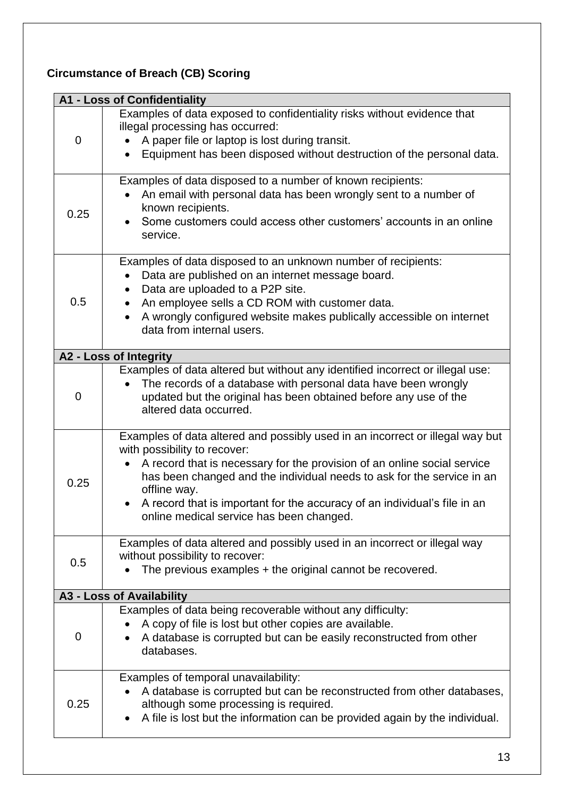# **Circumstance of Breach (CB) Scoring**

|             | <b>A1 - Loss of Confidentiality</b>                                                                                                                                                                                                                                                                                                                                                                                       |
|-------------|---------------------------------------------------------------------------------------------------------------------------------------------------------------------------------------------------------------------------------------------------------------------------------------------------------------------------------------------------------------------------------------------------------------------------|
| 0           | Examples of data exposed to confidentiality risks without evidence that<br>illegal processing has occurred:<br>A paper file or laptop is lost during transit.<br>Equipment has been disposed without destruction of the personal data.                                                                                                                                                                                    |
| 0.25        | Examples of data disposed to a number of known recipients:<br>An email with personal data has been wrongly sent to a number of<br>known recipients.<br>Some customers could access other customers' accounts in an online<br>service.                                                                                                                                                                                     |
| 0.5         | Examples of data disposed to an unknown number of recipients:<br>Data are published on an internet message board.<br>$\bullet$<br>Data are uploaded to a P2P site.<br>An employee sells a CD ROM with customer data.<br>A wrongly configured website makes publically accessible on internet<br>data from internal users.                                                                                                 |
|             | A2 - Loss of Integrity                                                                                                                                                                                                                                                                                                                                                                                                    |
| $\mathbf 0$ | Examples of data altered but without any identified incorrect or illegal use:<br>The records of a database with personal data have been wrongly<br>$\bullet$<br>updated but the original has been obtained before any use of the<br>altered data occurred.                                                                                                                                                                |
| 0.25        | Examples of data altered and possibly used in an incorrect or illegal way but<br>with possibility to recover:<br>A record that is necessary for the provision of an online social service<br>$\bullet$<br>has been changed and the individual needs to ask for the service in an<br>offline way.<br>A record that is important for the accuracy of an individual's file in an<br>online medical service has been changed. |
| 0.5         | Examples of data altered and possibly used in an incorrect or illegal way<br>without possibility to recover:<br>The previous examples + the original cannot be recovered.                                                                                                                                                                                                                                                 |
|             | A3 - Loss of Availability                                                                                                                                                                                                                                                                                                                                                                                                 |
| 0           | Examples of data being recoverable without any difficulty:<br>A copy of file is lost but other copies are available.<br>A database is corrupted but can be easily reconstructed from other<br>databases.                                                                                                                                                                                                                  |
| 0.25        | Examples of temporal unavailability:<br>A database is corrupted but can be reconstructed from other databases,<br>although some processing is required.<br>A file is lost but the information can be provided again by the individual.                                                                                                                                                                                    |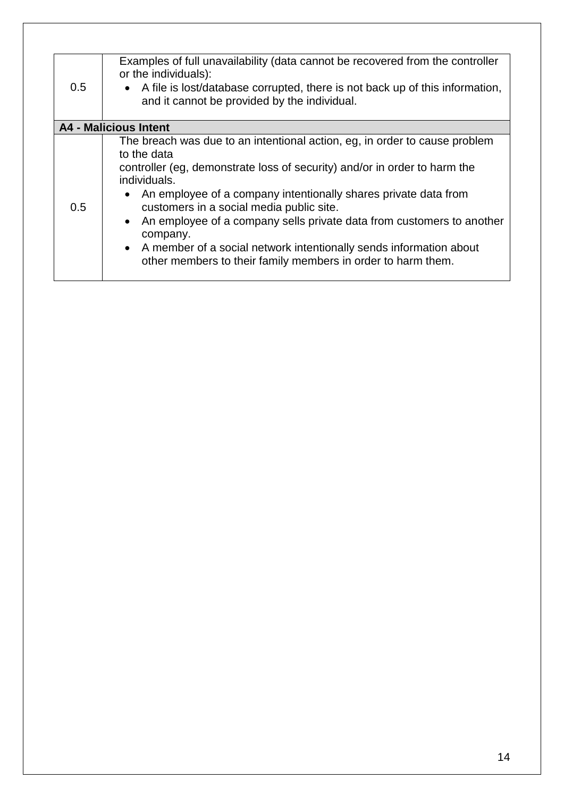| 0.5 | Examples of full unavailability (data cannot be recovered from the controller<br>or the individuals):<br>A file is lost/database corrupted, there is not back up of this information,<br>$\bullet$<br>and it cannot be provided by the individual.                                                                                                                                                                                                                                                                                                           |
|-----|--------------------------------------------------------------------------------------------------------------------------------------------------------------------------------------------------------------------------------------------------------------------------------------------------------------------------------------------------------------------------------------------------------------------------------------------------------------------------------------------------------------------------------------------------------------|
|     | A4 - Malicious Intent                                                                                                                                                                                                                                                                                                                                                                                                                                                                                                                                        |
| 0.5 | The breach was due to an intentional action, eg, in order to cause problem<br>to the data<br>controller (eg, demonstrate loss of security) and/or in order to harm the<br>individuals.<br>An employee of a company intentionally shares private data from<br>$\bullet$<br>customers in a social media public site.<br>An employee of a company sells private data from customers to another<br>$\bullet$<br>company.<br>• A member of a social network intentionally sends information about<br>other members to their family members in order to harm them. |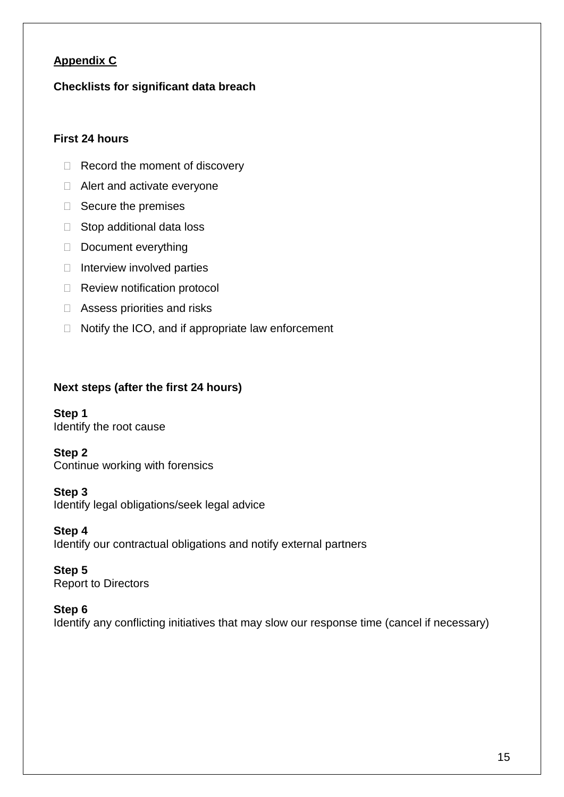## **Appendix C**

## **Checklists for significant data breach**

## **First 24 hours**

- $\Box$  Record the moment of discovery
- □ Alert and activate everyone
- $\Box$  Secure the premises
- □ Stop additional data loss
- Document everything
- $\Box$  Interview involved parties
- □ Review notification protocol
- □ Assess priorities and risks
- $\Box$  Notify the ICO, and if appropriate law enforcement

## **Next steps (after the first 24 hours)**

**Step 1** Identify the root cause

## **Step 2**

Continue working with forensics

## **Step 3**

Identify legal obligations/seek legal advice

## **Step 4**

Identify our contractual obligations and notify external partners

## **Step 5**

Report to Directors

## **Step 6**

Identify any conflicting initiatives that may slow our response time (cancel if necessary)